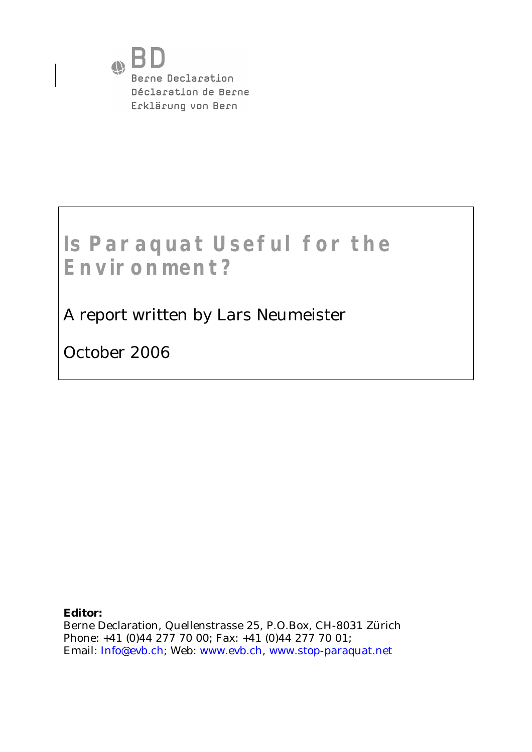

# **Is Paraquat Useful for the Environment?**

A report written by Lars Neumeister

October 2006

**Editor:**  Berne Declaration, Quellenstrasse 25, P.O.Box, CH-8031 Zürich Phone: +41 (0)44 277 70 00; Fax: +41 (0)44 277 70 01; Email: [Info@evb.ch;](mailto:Info@evb.ch;) Web: [www.evb.ch](http://www.evb.ch), [www.stop-paraquat.net](http://www.stop-paraquat.net)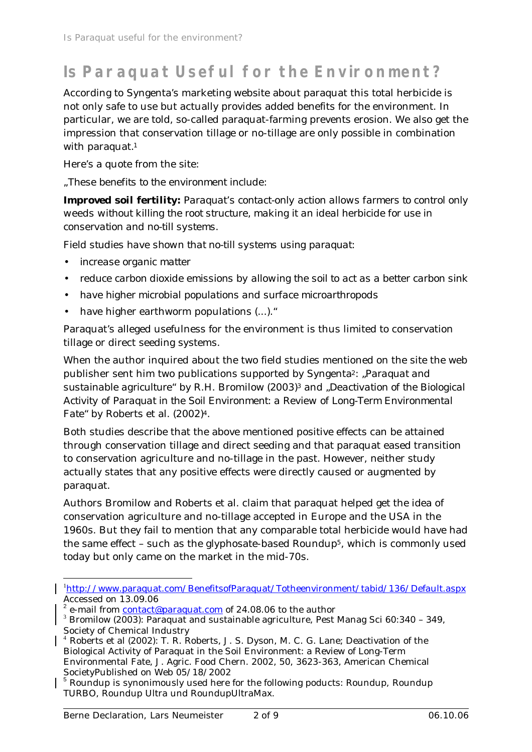## **Is Paraquat Useful for the Environment?**

According to Syngenta's marketing website about paraquat this total herbicide is not only safe to use but actually provides added benefits for the environment. In particular, we are told, so-called paraquat-farming prevents erosion. We also get the impression that conservation tillage or no-tillage are only possible in combination with paraquat. 1

Here's a quote from the site:

*"These benefits to the environment include:*

*Improved soil fertility: Paraquat's contact-only action allows farmers to control only weeds without killing the root structure, making it an ideal herbicide for use in conservation and no-till systems.*

*Field studies have shown that no-till systems using paraquat:*

- *increase organic matter*
- *reduce carbon dioxide emissions by allowing the soil to act as a better carbon sink*
- *have higher microbial populations and surface microarthropods*
- have higher earthworm populations (...).

Paraquat's alleged usefulness for the environment is thus limited to conservation tillage or direct seeding systems.

When the author inquired about the two field studies mentioned on the site the web publisher sent him two publications supported by Syngenta2: "*Paraquat and sustainable agriculture"* by R.H. Bromilow (2003)3 and "*Deactivation of the Biological Activity of Paraquat in the Soil Environment: a Review of Long-Term Environmental Fate*" by Roberts et al. (2002)4.

Both studies describe that the above mentioned positive effects can be attained through conservation tillage and direct seeding and that paraquat eased transition to conservation agriculture and no-tillage in the past. However, neither study actually states that any positive effects were directly caused or augmented by paraquat.

Authors Bromilow and Roberts et al. claim that paraquat helped get the idea of conservation agriculture and no-tillage accepted in Europe and the USA in the 1960s. But they fail to mention that any comparable total herbicide would have had the same effect – such as the glyphosate-based Roundup5, which is commonly used today but only came on the market in the mid-70s.

<sup>1</sup><http://www.paraquat.com/BenefitsofParaquat/Totheenvironment/tabid/136/Default.aspx> Accessed on 13.09.06

<sup>&</sup>lt;sup>2</sup> e-mail from <u>contact@paraquat.com</u> of 24.08.06 to the author

<sup>&</sup>lt;sup>3</sup> Bromilow (2003): Paraquat and sustainable agriculture, Pest Manag Sci 60:340 - 349, Society of Chemical Industry

<sup>4</sup> Roberts et al (2002): T. R. Roberts, J. S. Dyson, M. C. G. Lane; Deactivation of the Biological Activity of Paraquat in the Soil Environment: a Review of Long-Term Environmental Fate, J. Agric. Food Chern. 2002, 50, 3623-363, American Chemical SocietyPublished on Web 05/18/2002

<sup>&</sup>lt;sup>5</sup> Roundup is synonimously used here for the following poducts: Roundup, Roundup TURBO, Roundup Ultra und RoundupUltraMax.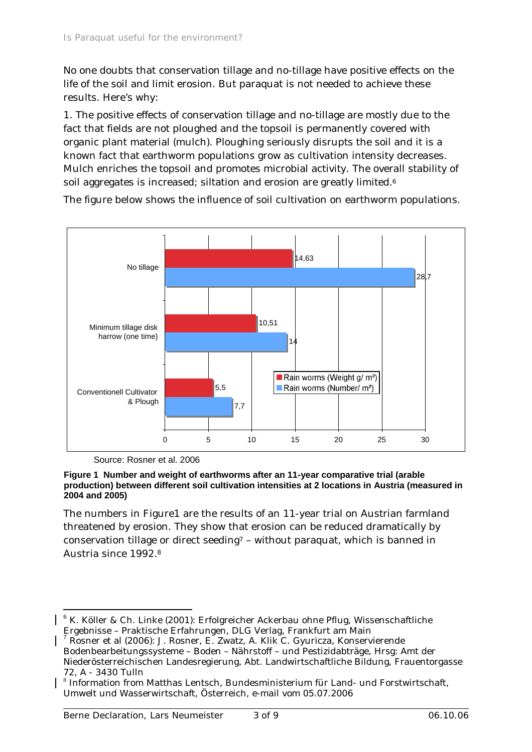No one doubts that conservation tillage and no-tillage have positive effects on the life of the soil and limit erosion. But paraquat is not needed to achieve these results. Here's why:

1. The positive effects of conservation tillage and no-tillage are mostly due to the fact that fields are not ploughed and the topsoil is permanently covered with organic plant material (mulch). Ploughing seriously disrupts the soil and it is a known fact that earthworm populations grow as cultivation intensity decreases. Mulch enriches the topsoil and promotes microbial activity. The overall stability of soil aggregates is increased; siltation and erosion are greatly limited.<sup>6</sup>



The figure below shows the influence of soil cultivation on earthworm populations.

Source: Rosner et al. 2006

#### **Figure 1 Number and weight of earthworms after an 11-year comparative trial (arable production) between different soil cultivation intensities at 2 locations in Austria (measured in 2004 and 2005)**

The numbers in Figure1 are the results of an 11-year trial on Austrian farmland threatened by erosion. They show that erosion can be reduced dramatically by conservation tillage or direct seeding<sup>7</sup> – without paraquat, which is banned in Austria since 1992.<sup>8</sup>

<sup>&</sup>lt;sup>6</sup> K. Köller & Ch. Linke (2001): Erfolgreicher Ackerbau ohne Pflug, Wissenschaftliche Ergebnisse – Praktische Erfahrungen, DLG Verlag, Frankfurt am Main

<sup>7</sup> Rosner et al (2006): J. Rosner, E. Zwatz, A. Klik C. Gyuricza, Konservierende Bodenbearbeitungssysteme – Boden – Nährstoff – und Pestizidabträge, Hrsg: Amt der Niederösterreichischen Landesregierung, Abt. Landwirtschaftliche Bildung, Frauentorgasse 72, A - 3430 Tulln

<sup>&</sup>lt;sup>8</sup> Information from Matthas Lentsch, Bundesministerium für Land- und Forstwirtschaft, Umwelt und Wasserwirtschaft, Österreich, e-mail vom 05.07.2006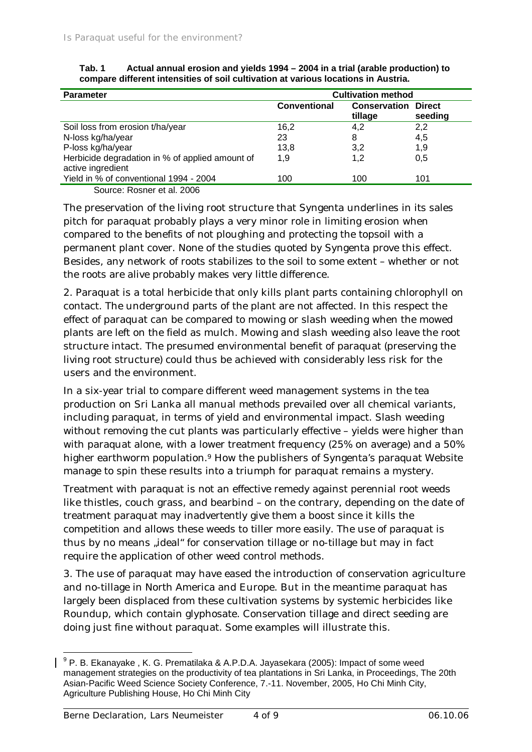| <b>Parameter</b>                                                     | <b>Cultivation method</b> |                                |                          |  |
|----------------------------------------------------------------------|---------------------------|--------------------------------|--------------------------|--|
|                                                                      | <b>Conventional</b>       | <b>Conservation</b><br>tillage | <b>Direct</b><br>seeding |  |
| Soil loss from erosion t/ha/year                                     | 16,2                      | 4,2                            | 2,2                      |  |
| N-loss kg/ha/year                                                    | 23                        | 8                              | 4,5                      |  |
| P-loss kg/ha/year                                                    | 13,8                      | 3,2                            | 1,9                      |  |
| Herbicide degradation in % of applied amount of<br>active ingredient | 1.9                       | 1,2                            | 0,5                      |  |
| Yield in % of conventional 1994 - 2004                               | 100                       | 100                            | 101                      |  |
| Source: Rosner et al. 2006                                           |                           |                                |                          |  |

| Tab. 1                                                                             | Actual annual erosion and yields 1994 – 2004 in a trial (arable production) to |  |  |  |
|------------------------------------------------------------------------------------|--------------------------------------------------------------------------------|--|--|--|
| compare different intensities of soil cultivation at various locations in Austria. |                                                                                |  |  |  |

The preservation of the living root structure that Syngenta underlines in its sales pitch for paraquat probably plays a very minor role in limiting erosion when compared to the benefits of not ploughing and protecting the topsoil with a permanent plant cover. None of the studies quoted by Syngenta prove this effect. Besides, any network of roots stabilizes to the soil to some extent – whether or not the roots are alive probably makes very little difference.

2. Paraquat is a total herbicide that only kills plant parts containing chlorophyll on contact. The underground parts of the plant are not affected. In this respect the effect of paraquat can be compared to mowing or slash weeding when the mowed plants are left on the field as mulch. Mowing and slash weeding also leave the root structure intact. The presumed environmental benefit of paraquat (preserving the living root structure) could thus be achieved with considerably less risk for the users and the environment.

In a six-year trial to compare different weed management systems in the tea production on Sri Lanka all manual methods prevailed over all chemical variants, including paraquat, in terms of yield and environmental impact. Slash weeding without removing the cut plants was particularly effective – yields were higher than with paraquat alone, with a lower treatment frequency (25% on average) and a 50% higher earthworm population.9 How the publishers of Syngenta's paraquat Website manage to spin these results into a triumph for paraquat remains a mystery.

Treatment with paraquat is not an effective remedy against perennial root weeds like thistles, couch grass, and bearbind – on the contrary, depending on the date of treatment paraquat may inadvertently give them a boost since it kills the competition and allows these weeds to tiller more easily. The use of paraquat is thus by no means "ideal" for conservation tillage or no-tillage but may in fact require the application of other weed control methods.

3. The use of paraquat may have eased the introduction of conservation agriculture and no-tillage in North America and Europe. But in the meantime paraquat has largely been displaced from these cultivation systems by systemic herbicides like Roundup, which contain glyphosate. Conservation tillage and direct seeding are doing just fine without paraquat. Some examples will illustrate this.

 $^{9}$  P. B. Ekanayake , K. G. Prematilaka & A.P.D.A. Jayasekara (2005): Impact of some weed management strategies on the productivity of tea plantations in Sri Lanka, in Proceedings, The 20th Asian-Pacific Weed Science Society Conference, 7.-11. November, 2005, Ho Chi Minh City, Agriculture Publishing House, Ho Chi Minh City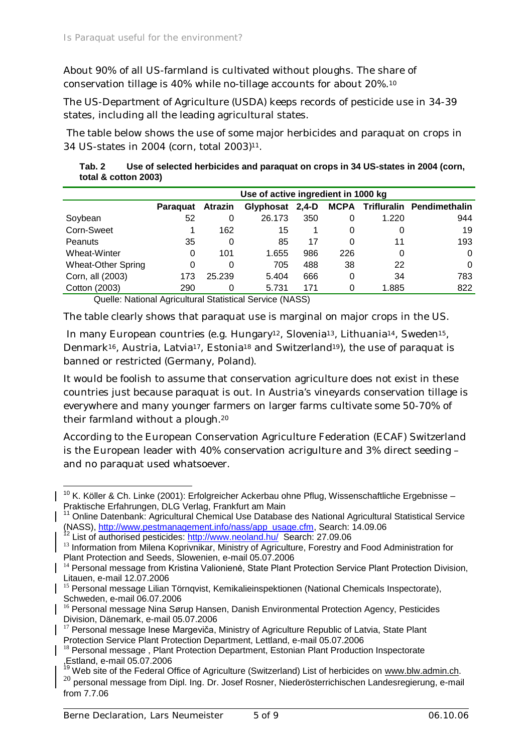About 90% of all US-farmland is cultivated without ploughs. The share of conservation tillage is 40% while no-tillage accounts for about 20%.<sup>10</sup>

The US-Department of Agriculture (USDA) keeps records of pesticide use in 34-39 states, including all the leading agricultural states.

 The table below shows the use of some major herbicides and paraquat on crops in 34 US-states in 2004 (corn, total 2003)11.

| Tab. 2 | Use of selected herbicides and paraquat on crops in 34 US-states in 2004 (corn, |
|--------|---------------------------------------------------------------------------------|
|        | total & cotton 2003)                                                            |

|                           | Use of active ingredient in 1000 kg |                |                 |     |     |       |                                       |
|---------------------------|-------------------------------------|----------------|-----------------|-----|-----|-------|---------------------------------------|
|                           | Paraguat                            | <b>Atrazin</b> | Glyphosat 2,4-D |     |     |       | <b>MCPA Trifluralin Pendimethalin</b> |
| Soybean                   | 52                                  | 0              | 26.173          | 350 | 0   | 1.220 | 944                                   |
| Corn-Sweet                |                                     | 162            | 15              |     | 0   |       | 19                                    |
| Peanuts                   | 35                                  | 0              | 85              | 17  | 0   | 11    | 193                                   |
| Wheat-Winter              | 0                                   | 101            | 1.655           | 986 | 226 | 0     | 0                                     |
| <b>Wheat-Other Spring</b> | 0                                   | 0              | 705             | 488 | 38  | 22    | 0                                     |
| Corn, all (2003)          | 173                                 | 25.239         | 5.404           | 666 | 0   | 34    | 783                                   |
| Cotton (2003)             | 290                                 | 0              | 5.731           | 171 | 0   | 1.885 | 822                                   |

Quelle: National Agricultural Statistical Service (NASS)

The table clearly shows that paraquat use is marginal on major crops in the US.

In many European countries (e.g. Hungary<sup>12</sup>, Slovenia<sup>13</sup>, Lithuania<sup>14</sup>, Sweden<sup>15</sup>, Denmark<sup>16</sup>, Austria, Latvia<sup>17</sup>, Estonia<sup>18</sup> and Switzerland<sup>19</sup>), the use of paraquat is banned or restricted (Germany, Poland).

It would be foolish to assume that conservation agriculture does not exist in these countries just because paraquat is out. In Austria's vineyards conservation tillage is everywhere and many younger farmers on larger farms cultivate some 50-70% of their farmland without a plough.<sup>20</sup>

According to the European Conservation Agriculture Federation (ECAF) Switzerland is the European leader with 40% conservation acrigulture and 3% direct seeding – and no paraquat used whatsoever.

 $10$  K. Köller & Ch. Linke (2001): Erfolgreicher Ackerbau ohne Pflug, Wissenschaftliche Ergebnisse – Praktische Erfahrungen, DLG Verlag, Frankfurt am Main

<sup>&</sup>lt;sup>11</sup> Online Datenbank: Agricultural Chemical Use Database des National Agricultural Statistical Service (NASS), [http://www.pestmanagement.info/nass/app\\_usage.cfm](http://www.pestmanagement.info/nass/app_usage.cfm), Search: 14.09.06

<sup>12</sup> List of authorised pesticides: <http://www.neoland.hu/> Search: 27.09.06

<sup>&</sup>lt;sup>13</sup> Information from Milena Koprivnikar, Ministry of Agriculture, Forestry and Food Administration for Plant Protection and Seeds, Slowenien, e-mail 05.07.2006

<sup>&</sup>lt;sup>14</sup> Personal message from Kristina Valionienė, State Plant Protection Service Plant Protection Division, Litauen, e-mail 12.07.2006

<sup>&</sup>lt;sup>15</sup> Personal message Lilian Törnqvist, Kemikalieinspektionen (National Chemicals Inspectorate), Schweden, e-mail 06.07.2006

<sup>&</sup>lt;sup>16</sup> Personal message Nina Sørup Hansen, Danish Environmental Protection Agency, Pesticides Division, Dänemark, e-mail 05.07.2006

 $17$  Personal message Inese Margeviča, Ministry of Agriculture Republic of Latvia, State Plant Protection Service Plant Protection Department, Lettland, e-mail 05.07.2006

<sup>&</sup>lt;sup>18</sup> Personal message, Plant Protection Department, Estonian Plant Production Inspectorate ,Estland, e-mail 05.07.2006

<sup>&</sup>lt;sup>19</sup> Web site of the Federal Office of Agriculture (Switzerland) List of herbicides on [www.blw.admin.ch.](http://www.blw.admin.ch.) 20 personal message from Dipl. Ing. Dr. Josef Rosner, Niederösterrichischen Landesregierung, e-mail

from 7.7.06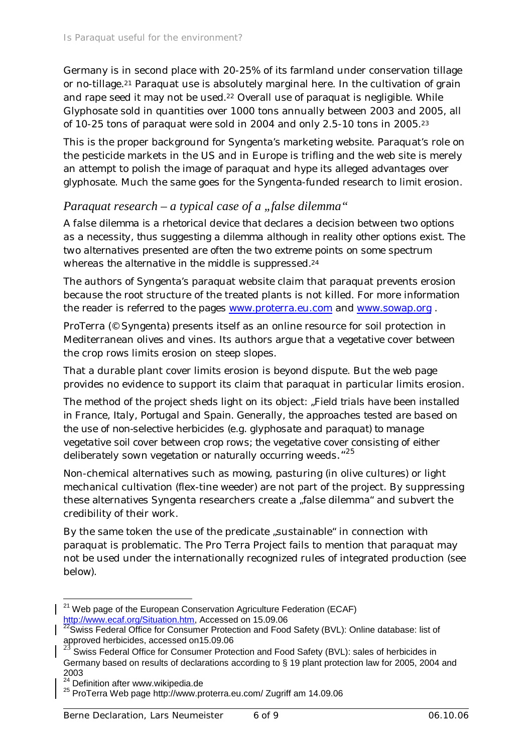Germany is in second place with 20-25% of its farmland under conservation tillage or no-tillage.21 Paraquat use is absolutely marginal here. In the cultivation of grain and rape seed it may not be used.<sup>22</sup> Overall use of paraquat is negligible. While Glyphosate sold in quantities over 1000 tons annually between 2003 and 2005, all of 10-25 tons of paraquat were sold in 2004 and only 2.5-10 tons in 2005.<sup>23</sup>

This is the proper background for Syngenta's marketing website. Paraquat's role on the pesticide markets in the US and in Europe is trifling and the web site is merely an attempt to polish the image of paraquat and hype its alleged advantages over glyphosate. Much the same goes for the Syngenta-funded research to limit erosion.

#### *Paraquat research – a typical case of a "false dilemma"*

*A false dilemma is a rhetorical device that declares a decision between two options as a necessity, thus suggesting a dilemma although in reality other options exist. The two alternatives presented are often the two extreme points on some spectrum whereas the alternative in the middle is suppressed.<sup>24</sup>*

The authors of Syngenta's paraquat website claim that paraquat prevents erosion because the root structure of the treated plants is not killed. For more information the reader is referred to the pages [www.proterra.eu.com](http://www.proterra.eu.com) and [www.sowap.org](http://www.sowap.org) .

ProTerra (© Syngenta) presents itself as an online resource for soil protection in Mediterranean olives and vines. Its authors argue that a vegetative cover between the crop rows limits erosion on steep slopes.

That a durable plant cover limits erosion is beyond dispute. But the web page provides no evidence to support its claim that paraquat in particular limits erosion.

The method of the project sheds light on its object: "*Field trials have been installed in France, Italy, Portugal and Spain. Generally, the approaches tested are based on the use of non-selective herbicides (e.g. glyphosate and paraquat) to manage vegetative soil cover between crop rows; the vegetative cover consisting of either deliberately sown vegetation or naturally occurring weeds*."<sup>25</sup>

Non-chemical alternatives such as mowing, pasturing (in olive cultures) or light mechanical cultivation (flex-tine weeder) are not part of the project. By suppressing these alternatives Syngenta researchers create a "false dilemma" and subvert the credibility of their work.

By the same token the use of the predicate "sustainable" in connection with paraquat is problematic. The Pro Terra Project fails to mention that paraquat may not be used under the internationally recognized rules of integrated production (see below).

 $21$  Web page of the European Conservation Agriculture Federation (ECAF) [http://www.ecaf.org/Situation.htm,](http://www.ecaf.org/Situation.htm) Accessed on 15.09.06

 $^{22}$ Swiss Federal Office for Consumer Protection and Food Safety (BVL): Online database: list of approved herbicides, accessed on15.09.06

<sup>23</sup> Swiss Federal Office for Consumer Protection and Food Safety (BVL): sales of herbicides in Germany based on results of declarations according to § 19 plant protection law for 2005, 2004 and 2003

<sup>&</sup>lt;sup>24</sup> Definition after [www.wikipedia.de](http://www.wikipedia.de)

<sup>25</sup> ProTerra Web page<http://www.proterra.eu.com/> Zugriff am 14.09.06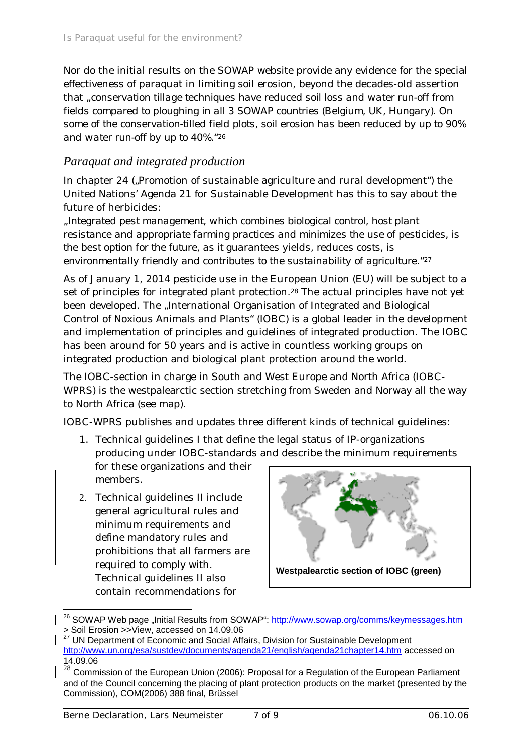Nor do the initial results on the SOWAP website provide any evidence for the special effectiveness of paraquat in limiting soil erosion, beyond the decades-old assertion that *"conservation tillage techniques have reduced soil loss and water run-off from fields compared to ploughing in all 3 SOWAP countries (Belgium, UK, Hungary). On some of the conservation-tilled field plots, soil erosion has been reduced by up to 90% and water run-off by up to 40%."*<sup>26</sup>

#### *Paraquat and integrated production*

In chapter 24 ("Promotion of sustainable agriculture and rural development") the United Nations' Agenda 21 for Sustainable Development has this to say about the future of herbicides:

*"Integrated pest management, which combines biological control, host plant resistance and appropriate farming practices and minimizes the use of pesticides, is the best option for the future, as it guarantees yields, reduces costs, is environmentally friendly and contributes to the sustainability of agriculture."<sup>27</sup>*

As of January 1, 2014 pesticide use in the European Union (EU) will be subject to a set of principles for integrated plant protection.<sup>28</sup> The actual principles have not yet been developed. The "International Organisation of Integrated and Biological Control of Noxious Animals and Plants" (IOBC) is a global leader in the development and implementation of principles and guidelines of integrated production. The IOBC has been around for 50 years and is active in countless working groups on integrated production and biological plant protection around the world.

The IOBC-section in charge in South and West Europe and North Africa (IOBC-WPRS) is the westpalearctic section stretching from Sweden and Norway all the way to North Africa (see map).

IOBC-WPRS publishes and updates three different kinds of technical guidelines:

- 1. Technical guidelines I that define the legal status of IP-organizations producing under IOBC-standards and describe the minimum requirements for these organizations and their members.
- 2. Technical guidelines II include general agricultural rules and minimum requirements and define mandatory rules and prohibitions that all farmers are required to comply with. Technical guidelines II also contain recommendations for



<sup>&</sup>lt;sup>26</sup> SOWAP Web page "Initial Results from SOWAP": <http://www.sowap.org/comms/keymessages.htm> > Soil Erosion >>View, accessed on 14.09.06

<sup>27</sup> UN Department of Economic and Social Affairs, Division for Sustainable Development <http://www.un.org/esa/sustdev/documents/agenda21/english/agenda21chapter14.htm>accessed on 14.09.06

<sup>28</sup> Commission of the European Union (2006): Proposal for a Regulation of the European Parliament and of the Council concerning the placing of plant protection products on the market (presented by the Commission), COM(2006) 388 final, Brüssel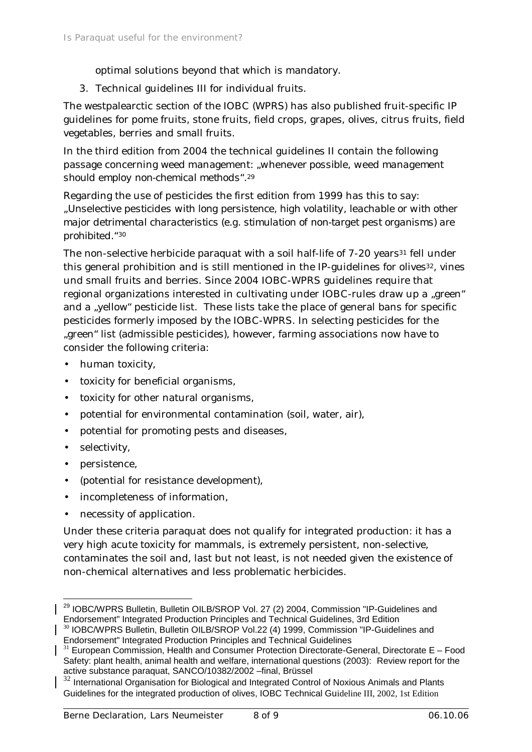optimal solutions beyond that which is mandatory.

3. Technical guidelines III for individual fruits.

The westpalearctic section of the IOBC (WPRS) has also published fruit-specific IP guidelines for pome fruits, stone fruits, field crops, grapes, olives, citrus fruits, field vegetables, berries and small fruits.

In the third edition from 2004 the technical guidelines II contain the following passage concerning weed management: "*whenever possible, weed management should employ non-chemical methods*".*<sup>29</sup>*

Regarding the use of pesticides the first edition from 1999 has this to say: *"Unselective pesticides with long persistence, high volatility, leachable or with other major detrimental characteristics (e.g. stimulation of non-target pest organisms) are prohibited."<sup>30</sup>*

The non-selective herbicide paraquat with a soil half-life of 7-20 years<sup>31</sup> fell under this general prohibition and is still mentioned in the IP-guidelines for olives<sup>32</sup>, vines und small fruits and berries. Since 2004 IOBC-WPRS guidelines require that regional organizations interested in cultivating under IOBC-rules draw up a "green" and a "yellow" pesticide list. These lists take the place of general bans for specific pesticides formerly imposed by the IOBC-WPRS. In selecting pesticides for the "green" list (admissible pesticides), however, farming associations now have to consider the following criteria:

- human toxicity,
- toxicity for beneficial organisms,
- toxicity for other natural organisms,
- potential for environmental contamination (soil, water, air),
- potential for promoting pests and diseases,
- selectivity,
- persistence,
- (potential for resistance development),
- incompleteness of information,
- necessity of application.

Under these criteria paraquat does not qualify for integrated production: it has a very high acute toxicity for mammals, is extremely persistent, non-selective, contaminates the soil and, last but not least, is not needed given the existence of non-chemical alternatives and less problematic herbicides.

<sup>&</sup>lt;sup>29</sup> IOBC/WPRS Bulletin, Bulletin OILB/SROP Vol. 27 (2) 2004, Commission "IP-Guidelines and Endorsement" Integrated Production Principles and Technical Guidelines, 3rd Edition

<sup>&</sup>lt;sup>30</sup> IOBC/WPRS Bulletin, Bulletin OILB/SROP Vol.22 (4) 1999, Commission "IP-Guidelines and Endorsement" Integrated Production Principles and Technical Guidelines

 $31$  European Commission, Health and Consumer Protection Directorate-General, Directorate E – Food Safety: plant health, animal health and welfare, international questions (2003): Review report for the active substance paraquat, SANCO/10382/2002 –final, Brüssel

 $32$  International Organisation for Biological and Integrated Control of Noxious Animals and Plants Guidelines for the integrated production of olives, IOBC Technical Guideline III, 2002, 1st Edition